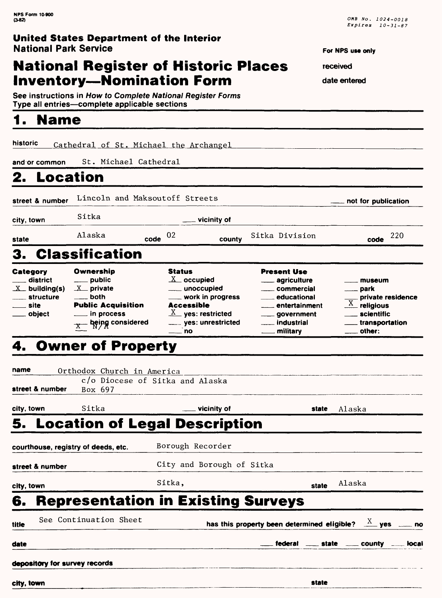# **National Register of Historic Places Inventory—Nomination Form**

See instructions in How to Complete National Register Forms Type all entries—complete applicable sections\_\_\_\_\_\_\_\_\_\_\_\_\_\_\_

### **1. Name**

**historic** Cathedral of St. Michael the Archangel

**and or common** St. Michael Cathedral

# **2. Location**

| street & number                                                         | Lincoln and Maksoutoff Streets                                                                                                                                    |                                                                                                                                                              |                                                                                                                                                                                                            | not for publication                                                                                                                           |
|-------------------------------------------------------------------------|-------------------------------------------------------------------------------------------------------------------------------------------------------------------|--------------------------------------------------------------------------------------------------------------------------------------------------------------|------------------------------------------------------------------------------------------------------------------------------------------------------------------------------------------------------------|-----------------------------------------------------------------------------------------------------------------------------------------------|
| city, town                                                              | Sitka                                                                                                                                                             | vicinity of                                                                                                                                                  |                                                                                                                                                                                                            |                                                                                                                                               |
| state                                                                   | Alaska                                                                                                                                                            | 02<br>code<br>county                                                                                                                                         | Sitka Division                                                                                                                                                                                             | 220<br>code                                                                                                                                   |
|                                                                         | 3. Classification                                                                                                                                                 |                                                                                                                                                              |                                                                                                                                                                                                            |                                                                                                                                               |
| Category<br>district<br>$X_$ building(s)<br>structure<br>site<br>object | Ownership<br>$\rule{1em}{0.15mm}$ public<br>$X$ private<br>$\rule{1em}{0.15mm}$ both<br><b>Public Acquisition</b><br><u>__</u> in process<br>$x$ being considered | <b>Status</b><br>$\underline{X}$ occupied<br>___ work in progress<br><b>Accessible</b><br>$\underline{X}$ yes: restricted<br>____ yes: unrestricted<br>——`no | <b>Present Use</b><br><u>__</u> __ agriculture<br><u>__</u> __ commercial<br><u>___</u> __ educational<br>entertainment<br><sub>__</sub> ___ government<br><u>__</u> __ industrial<br><u>_</u> __ military | museum<br>___ park<br>private residence<br>$\overline{X}$<br>religious<br>scientific<br><u></u> transportation<br>$\rule{1em}{0.15mm}$ other: |
|                                                                         | 4. Owner of Property                                                                                                                                              |                                                                                                                                                              |                                                                                                                                                                                                            |                                                                                                                                               |
| name                                                                    | Orthodox Church in America                                                                                                                                        |                                                                                                                                                              |                                                                                                                                                                                                            |                                                                                                                                               |
|                                                                         |                                                                                                                                                                   | c/o Diocese of Sitka and Alaska                                                                                                                              |                                                                                                                                                                                                            |                                                                                                                                               |
| street & number                                                         | Box 697                                                                                                                                                           |                                                                                                                                                              |                                                                                                                                                                                                            |                                                                                                                                               |
| city, town                                                              | Sitka                                                                                                                                                             | vicinity of                                                                                                                                                  | state                                                                                                                                                                                                      | Alaska                                                                                                                                        |

# **5. Location of Legal Description**

|            |                                     |                                                                        |       | ___ federal ___ state ___ county ___ local |  |
|------------|-------------------------------------|------------------------------------------------------------------------|-------|--------------------------------------------|--|
| title      | See Continuation Sheet              | has this property been determined eligible? $\frac{X}{X}$ yes _____ no |       |                                            |  |
| 6.         |                                     | <b>Representation in Existing Surveys</b>                              |       |                                            |  |
| city, town |                                     | Sitka.                                                                 | state | Alaska                                     |  |
|            | street & number                     | City and Borough of Sitka                                              |       |                                            |  |
|            | courthouse, registry of deeds, etc. | Borough Recorder                                                       |       |                                            |  |

**For NPS use only** 

**received** 

**date entered**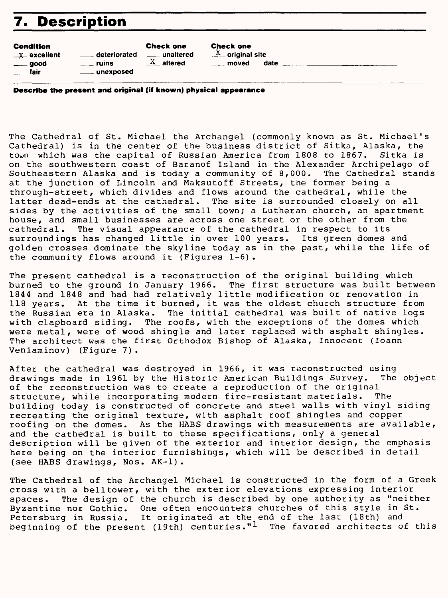# **7. Description**

#### Condition

| -----------    |                         | .                       |
|----------------|-------------------------|-------------------------|
| $-x$ excellent | deteriorated            | _____ unaltered         |
| $\equiv$ good  | <u></u> ruins           | $\underline{X}$ altered |
| __ fair        | <u>__</u> ___ unexposed |                         |

**Check one**<br> $\overline{X}$  original site moved date

**Describe the present and original (if known) physical appearance**

Check one

The Cathedral of St. Michael the Archangel (commonly known as St. Michael's Cathedral) is in the center of the business district of Sitka, Alaska, the<br>town which was the capital of Russian America from 1808 to 1867. Sitka is town which was the capital of Russian America from 1808 to 1867. on the southwestern coast of Baranof Island in the Alexander Archipelago of Southeastern Alaska and is today a community of 8,000. The Cathedral stands at the junction of Lincoln and Maksutoff Streets, the former being a through-street, which divides and flows around the cathedral, while the latter dead-ends at the cathedral. The site is surrounded closely on all sides by the activities of the small town; a Lutheran church, an apartment house, and small businesses are across one street or the other from the cathedral. The visual appearance of the cathedral in respect to its surroundings has changed little in over 100 years. Its green domes and golden crosses dominate the skyline today as in the past, while the life of the community flows around it (Figures 1-6).

The present cathedral is a reconstruction of the original building which burned to the ground in January 1966. The first structure was built between 1844 and 1848 and had had relatively little modification or renovation in 118 years. At the time it burned, it was the oldest church structure from the Russian era in Alaska. The initial cathedral was built of native logs with clapboard siding. The roofs, with the exceptions of the domes which were metal, were of wood shingle and later replaced with asphalt shingles. The architect was the first Orthodox Bishop of Alaska, Innocent (loann Veniaminov) (Figure 7).

After the cathedral was destroyed in 1966, it was reconstructed using drawings made in 1961 by the Historic American Buildings Survey. The object of the reconstruction was to create a reproduction of the original structure, while incorporating modern fire-resistant materials. The building today is constructed of concrete and steel walls with vinyl siding recreating the original texture, with asphalt roof shingles and copper roofing on the domes. As the HABS drawings with measurements are available, and the cathedral is built to these specifications, only a general description will be given of the exterior and interior design, the emphasis here being on the interior furnishings, which will be described in detail (see HABS drawings, Nos. AK-1).

The Cathedral of the Archangel Michael is constructed in the form of a Greek cross with a belltower, with the exterior elevations expressing interior spaces. The design of the church is described by one authority as "neither Byzantine nor Gothic. One often encounters churches of this style in St. Petersburg in Russia. It originated at the end of the last (18th) and beginning of the present (19th) centuries."<sup>1</sup> The favored architects of this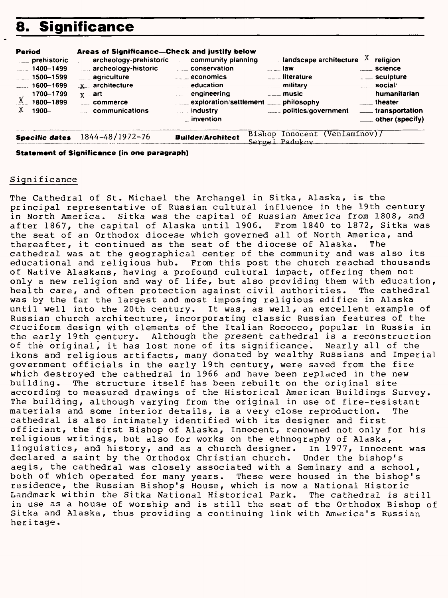# **8. Significance**

| Period<br>____ prehistoric<br>$\frac{1}{2}$ 1400–1499<br>$\sim$ 1500-1599<br>$-1600 - 1699$<br>$\sim$ 1700–1799<br>$X = 1800 - 1899$<br><u>X</u> 1900– | Areas of Significance-Check and justify below<br>____ archeology-prehistoric __ _ community planning<br>archeology-historic<br>$\equiv$ agriculture<br>$X$ architecture<br>⊰x ⊥art<br>commerce<br>communications | conservation<br>$\overline{\phantom{a} \phantom{a}}$ economics<br>$\ldots$ education<br>engineering<br>exploration/settlement _____ philosophy<br>industry<br><i>invention</i> | $\frac{1}{2}$ landscape architecture $\frac{X}{X}$ religion<br><b>a</b> law<br>$\overline{\phantom{a}}$ = $\overline{\phantom{a}}$ = literature<br><b>Example 1</b> military<br>$\equiv$ music<br>politics/government | <u>__</u> __ science<br>$\sim$ sculpture<br>$\equiv$ social/<br>humanitarian<br>theater<br>____ transportation<br>$\equiv$ other (specify) |
|--------------------------------------------------------------------------------------------------------------------------------------------------------|------------------------------------------------------------------------------------------------------------------------------------------------------------------------------------------------------------------|--------------------------------------------------------------------------------------------------------------------------------------------------------------------------------|-----------------------------------------------------------------------------------------------------------------------------------------------------------------------------------------------------------------------|--------------------------------------------------------------------------------------------------------------------------------------------|
| <b>Specific dates</b>                                                                                                                                  | 1844-48/1972-76                                                                                                                                                                                                  | <b>Builder/Architect</b>                                                                                                                                                       | Bishop Innocent (Veniaminov)/<br>Sergei Padukov                                                                                                                                                                       |                                                                                                                                            |

**Statement of Significance (in one paragraph)**

#### Signi ficance

The Cathedral of St. Michael the Archangel in Sitka, Alaska, is the principal representative of Russian cultural influence in the 19th century in North America. Sitka was the capital of Russian America from 1808, and after 1867, the capital of Alaska until 1906. From 1840 to 1872, Sitka was the seat of an Orthodox diocese which governed all of North America, and thereafter, it continued as the seat of the diocese of Alaska. The cathedral was at the geographical center of the community and was also its educational and religious hub. From this post the church reached thousands of Native Alaskans, having a profound cultural impact, offering them not only a new religion and way of life, but also providing them with education,<br>health care, and often protection against civil authorities. The cathedral health care, and often protection against civil authorities. was by the far the largest and most imposing religious edifice in Alaska until well into the 20th century. It was, as well, an excellent example of Russian church architecture, incorporating classic Russian features of the cruciform design with elements of the Italian Rococco, popular in Russia in the early 19th century. Although the present cathedral is a reconstruction of the original, it has lost none of its significance. Nearly all of the ikons and religious artifacts, many donated by wealthy Russians and Imperial government officials in the early 19th century, were saved from the fire which destroyed the cathedral in 1966 and have been replaced in the new building. The structure itself has been rebuilt on the original site according to measured drawings of the Historical American Buildings Survey. The building, although varying from the original in use of fire-resistant materials and some interior details, is a very close reproduction. The cathedral is also intimately identified with its designer and first officiant, the first Bishop of Alaska, Innocent, renowned not only for his religious writings, but also for works on the ethnography of Alaska, linguistics, and history, and as a church designer. In 1977, Innocent was declared a saint by the Orthodox Christian church. Under the bishop's aegis, the cathedral was closely associated with a Seminary and a school, both of which operated for many years. These were housed in the bishop's residence, the Russian Bishop's House, which is now a National Historic Landmark within the Sitka National Historical Park. The cathedral is still in use as a house of worship and is still the seat of the Orthodox Bishop of Sitka and Alaska, thus providing a continuing link with America's Russian heritage.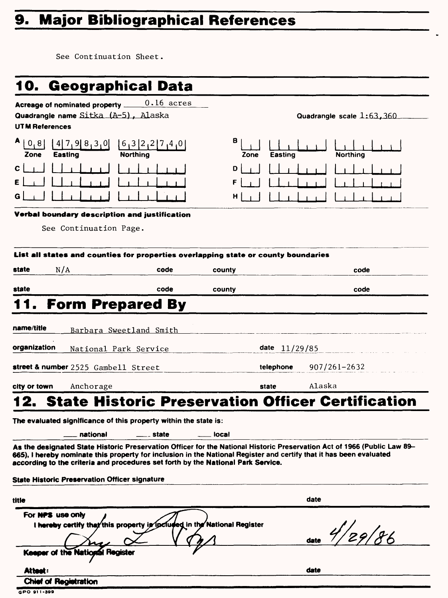# **9. Major Bibliographical References**

See Continuation Sheet.

| <b>0. Geographical Data</b>                                                                                                                                                                             |                                                        |                             |                                                                                                                          |
|---------------------------------------------------------------------------------------------------------------------------------------------------------------------------------------------------------|--------------------------------------------------------|-----------------------------|--------------------------------------------------------------------------------------------------------------------------|
| Acreage of nominated property _<br>Quadrangle name Sitka (A-5), Alaska<br>UTM References                                                                                                                | $0.16$ acres                                           |                             | Quadrangle scale $1:63,360$                                                                                              |
| A<br>0, 8<br>$4$ 7, 9 $8$ , 3, 0<br><b>Easting</b><br>Zone                                                                                                                                              | $[6,3]$ $2$ $1$ $7$ $1$ $4$ $1$ $0$<br><b>Northing</b> | в<br><b>Easting</b><br>Zone | <b>Northing</b>                                                                                                          |
| G                                                                                                                                                                                                       |                                                        | D<br>F<br>н                 |                                                                                                                          |
| Verbal boundary description and justification<br>See Continuation Page.                                                                                                                                 |                                                        |                             |                                                                                                                          |
| List all states and counties for properties overlapping state or county boundaries                                                                                                                      |                                                        |                             |                                                                                                                          |
| N/A<br>state                                                                                                                                                                                            | code                                                   | county                      | code                                                                                                                     |
| state                                                                                                                                                                                                   | code                                                   | county                      | code                                                                                                                     |
| <b>Form Prepared By</b>                                                                                                                                                                                 |                                                        |                             |                                                                                                                          |
| name/title<br>Barbara Sweetland Smith<br>organization<br>National Park Service                                                                                                                          |                                                        | date $11/29/85$             |                                                                                                                          |
| street & number 2525 Gambell Street                                                                                                                                                                     |                                                        | telephone                   | $907/261 - 2632$                                                                                                         |
| city or town<br>Anchorage                                                                                                                                                                               |                                                        | state                       | Alaska                                                                                                                   |
|                                                                                                                                                                                                         |                                                        |                             | <b>State Historic Preservation Officer Certification</b>                                                                 |
| The evaluated significance of this property within the state is:                                                                                                                                        |                                                        |                             |                                                                                                                          |
| national                                                                                                                                                                                                | __ state                                               | local                       |                                                                                                                          |
| 665). I hereby nominate this property for inclusion in the National Register and certify that it has been evaluated<br>according to the criteria and procedures set forth by the National Park Service. |                                                        |                             | As the designated State Historic Preservation Officer for the National Historic Preservation Act of 1966 (Public Law 89- |
| <b>State Historic Preservation Officer signature</b>                                                                                                                                                    |                                                        |                             |                                                                                                                          |
| title                                                                                                                                                                                                   |                                                        |                             | date                                                                                                                     |
| For NPS use only<br>I hereby certify that this property is focluded in the National Register                                                                                                            |                                                        |                             | /<br>29/86                                                                                                               |
|                                                                                                                                                                                                         |                                                        |                             | date                                                                                                                     |
| Keeper of the National Register<br>Attest:                                                                                                                                                              |                                                        |                             | date                                                                                                                     |

**GPO 91 I -3»9**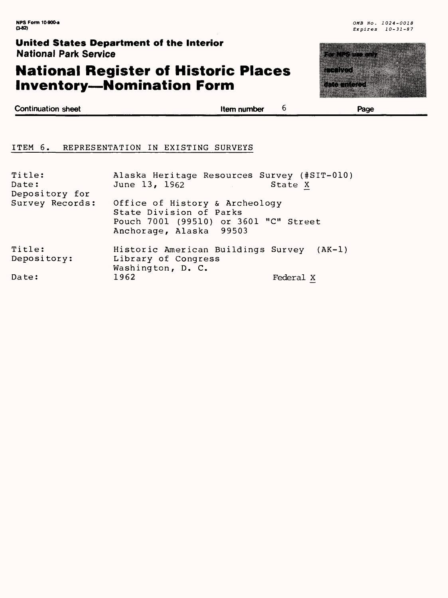# **National Register of Historic Places Inventory—Nomination Form**



**Continuation sheet Item number** 

6

**Page**

#### ITEM 6. REPRESENTATION IN EXISTING SURVEYS

| Title:<br>Date:<br>Depository for | Alaska Heritage Resources Survey (#SIT-010)<br>June 13, 1962<br>1000 - San Antonio Alemania (1980)                            | State X   |
|-----------------------------------|-------------------------------------------------------------------------------------------------------------------------------|-----------|
| Survey Records:                   | Office of History & Archeology<br>State Division of Parks<br>Pouch 7001 (99510) or 3601 "C" Street<br>Anchorage, Alaska 99503 |           |
| Title:<br>Depository:             | Historic American Buildings Survey (AK-1)<br>Library of Congress                                                              |           |
| Date:                             | Washington, D. C.<br>1962                                                                                                     | Federal X |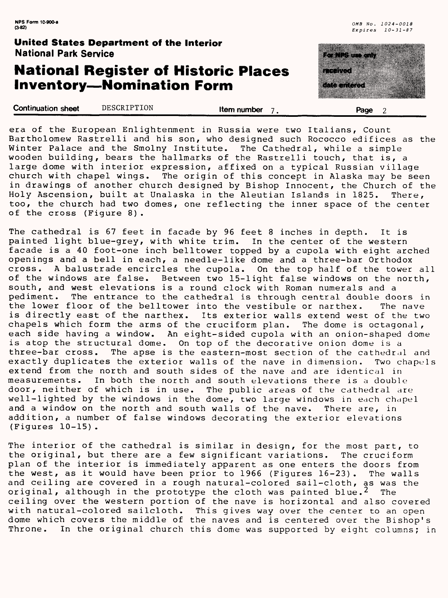### **National Register of Historic Places Inventory—Nomination Form**

<u>e de la companya de la companya de la compa</u> maanaa <u>i sa katalun kabupatèn</u>

**Continuation sheet** DESCRIPTION **Item number 7 . Page 2** 

era of the European Enlightenment in Russia were two Italians, Count Bartholomew Rastrelli and his son, who designed such Rococco edifices as the Winter Palace and the Smolny Institute. The Cathedral, while a simple wooden building, bears the hallmarks of the Rastrelli touch, that is, a large dome with interior expression, affixed on a typical Russian village church with chapel wings. The origin of this concept in Alaska may be seen in drawings of another church designed by Bishop Innocent, the Church of the Holy Ascension, built at Unalaska in the Aleutian Islands in 1825. There, too, the church had two domes, one reflecting the inner space of the center of the cross (Figure 8).

The cathedral is 67 feet in facade by 96 feet 8 inches in depth. It is painted light blue-grey, with white trim. In the center of the western facade is a 40 foot-one inch belltower topped by a cupola with eight arched openings and a bell in each, a needle-like dome and a three-bar Orthodox cross. A balustrade encircles the cupola. On the top half of the tower all of the windows are false. Between two 15-light false windows on the north, south, and west elevations is a round clock with Roman numerals and a pediment. The entrance to the cathedral is through central double doors in the lower floor of the belltower into the vestibule or narthex. The nave<br>is directly east of the narthex. Its exterior walls extend west of the two Its exterior walls extend west of the two chapels which form the arms of the cruciform plan. The dome is octagonal, each side having a window. An eight-sided cupola with an onion-shaped dome is atop the structural dome. On top of the decorative onion dome is a three-bar cross. The apse is the eastern-most section of the cathedral and exactly duplicates the exterior walls of the nave in dimension. Two chapels extend from the north and south sides of the nave and are identical in measurements. In both the north and south elevations there is a double In both the north and south elevations there is a double door, neither of which is in use. The public areas of the cathedral are well-lighted by the windows in the dome, two large windows in each chapel and a window on the north and south walls of the nave. There are, in addition, a number of false windows decorating the exterior elevations (Figures 10-15) .

The interior of the cathedral is similar in design, for the most part, to the original, but there are a few significant variations. The cruciform plan of the interior is immediately apparent as one enters the doors from the west, as it would have been prior to 1966 (Figures 16-23). The walls and ceiling are covered in a rough natural-colored sail-cloth, as was the original, although in the prototype the cloth was painted blue.<sup>2</sup> The ceiling over the western portion of the nave is horizontal and also covered with natural-colored sailcloth. This gives way over the center to an open dome which covers the middle of the naves and is centered over the Bishop's Throne. In the original church this dome was supported by eight columns; in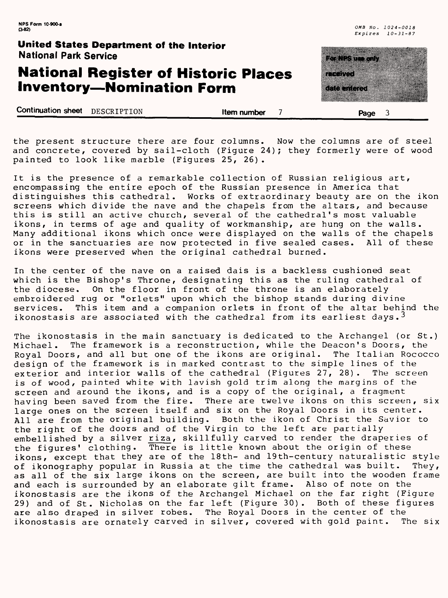# **National Register of Historic Places Inventory—Nomination Form**

| a sa kasa            |  |
|----------------------|--|
|                      |  |
| <u>mana ang pang</u> |  |
|                      |  |

**Continuation sheet** DESCRIPTION<br>**Item number 7** Page 3

the present structure there are four columns. Now the columns are of steel and concrete, covered by sail-cloth (Figure 24); they formerly were of wood painted to look like marble (Figures 25, 26).

It is the presence of a remarkable collection of Russian religious art, encompassing the entire epoch of the Russian presence in America that distinguishes this cathedral. Works of extraordinary beauty are on the ikon screens which divide the nave and the chapels from the altars, and because this is still an active church, several of the cathedral's most valuable ikons, in terms of age and quality of workmanship, are hung on the walls. Many additional ikons which once were displayed on the walls of the chapels or in the sanctuaries are now protected in five sealed cases. All of these ikons were preserved when the original cathedral burned.

In the center of the nave on a raised dais is a backless cushioned seat which is the Bishop's Throne, designating this as the ruling cathedral of the diocese. On the floor in front of the throne is an elaborately embroidered rug or "orlets" upon which the bishop stands during divine services. This item and a companion orlets in front of the altar behind the ikonostasis are associated with the cathedral from its earliest days.<sup>3</sup>

The ikonostasis in the main sanctuary is dedicated to the Archangel (or St.) Michael. The framework is a reconstruction, while the Deacon's Doors, the Royal Doors, and all but one of the ikons are original. The Italian Rococco design of the framework is in marked contrast to the simple lines of the exterior and interior walls of the cathedral (Figures 27, 28). The screen is of wood, painted white with lavish gold trim along the margins of the screen and around the ikons, and is a copy of the original, a fragment having been saved from the fire. There are twelve ikons on this screen, six large ones on the screen itself and six on the Royal Doors in its center. All are from the original building. Both the ikon of Christ the Savior to the right of the doors and of the Virgin to the left are partially embellished by a silver riza, skillfully carved to render the draperies of the figures' clothing. There is little known about the origin of these ikons, except that they are of the 18th- and 19th-century naturalistic style of ikonography popular in Russia at the time the cathedral was built. They, as all of the six large ikons on the screen, are built into the wooden frame and each is surrounded by an elaborate gilt frame. Also of note on the ikonostasis are the ikons of the Archangel Michael on the far right (Figure 29) and of St. Nicholas on the far left (Figure 30). Both of these figures are also draped in silver robes. The Royal Doors in the center of the ikonostasis are ornately carved in silver, covered with gold paint. The six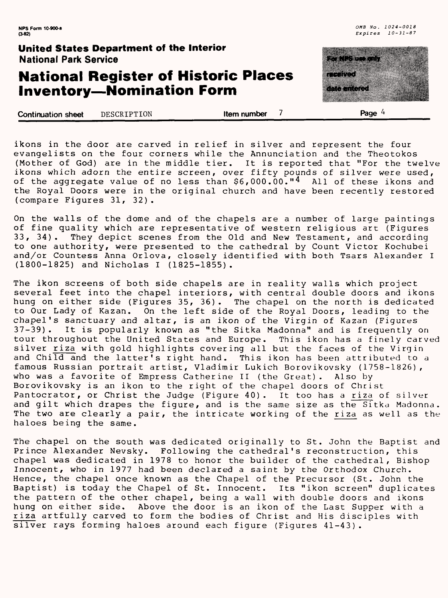# **National Register of Historic Places Inventory—Nomination Form**



**Continuation sheet** DESCRIPTION **them number 7** Page 4

ikons in the door are carved in relief in silver and represent the four evangelists on the four corners while the Annunciation and the Theotokos (Mother of God) are in the middle tier. It is reported that "For the twelve ikons which adorn the entire screen, over fifty pounds of silver were used, of the aggregate value of no less than  $$6.000.00$ . $" 4$  All of these ikons and the Royal Doors were in the original church and have been recently restored (compare Figures 31, 32).

On the walls of the dome and of the chapels are a number of large paintings of fine quality which are representative of western religious art (Figures<br>33, 34). They depict scenes from the Old and New Testament, and according They depict scenes from the Old and New Testament, and according to one authority, were presented to the cathedral by Count Victor Kochubei and/or Countess Anna Orlova, closely identified with both Tsars Alexander I (1800-1825) and Nicholas I (1825-1855).

The ikon screens of both side chapels are in reality walls which project several feet into the chapel interiors, with central double doors and ikons hung on either side (Figures 35, 36). The chapel on the north is dedicated to Our Lady of Kazan. On the left side of the Royal Doors, leading to the chapel's sanctuary and altar, is an ikon of the Virgin of Kazan (Figures It is popularly known as "the Sitka Madonna" and is frequently on tour throughout the United States and Europe. This ikon has a finely carved silver riza with gold highlights covering all but the faces of the Virgin and Child and the latter's right hand. This ikon has been attributed to a famous Russian portrait artist, Vladimir Lukich Borovikovsky (1758-1826), who was a favorite of Empress Catherine II (the Great). Also by Borovikovsky is an ikon to the right of the chapel doors of Christ Pantocrator, or Christ the Judge (Figure 40). It too has a riza of silver and gilt which drapes the figure, and is the same size as the Sitka Madonna. The two are clearly a pair, the intricate working of the riza as well as the haloes being the same.

The chapel on the south was dedicated originally to St. John the Baptist and Prince Alexander Nevsky. Following the cathedral's reconstruction, this chapel was dedicated in 1978 to honor the builder of the cathedral, Bishop Innocent, who in 1977 had been declared a saint by the Orthodox Church. Hence, the chapel once known as the Chapel of the Precursor (St. John the Baptist) is today the Chapel of St. Innocent. Its "ikon screen" duplicates the pattern of the other chapel, being a wall with double doors and ikons hung on either side. Above the door is an ikon of the Last Supper with a riza artfully carved to form the bodies of Christ and His disciples with silver rays forming haloes around each figure (Figures 41-43).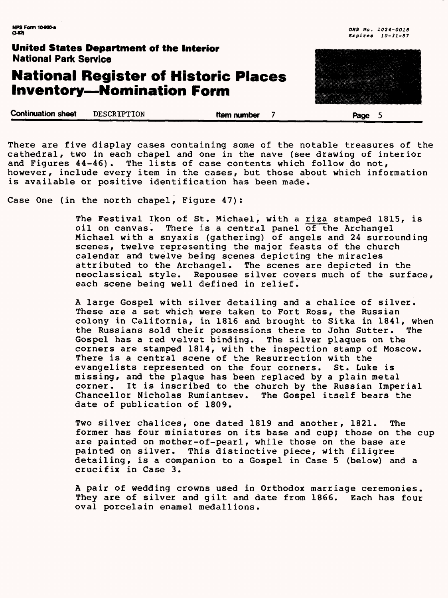# **National Register of Historic Places Inventory—Nomination Form**



**Continuation sheet DESCRIPTION Continuation sheet DESCRIPTION Represents them number 7 Page 5** 

There are five display cases containing some of the notable treasures of the cathedral, two in each chapel and one in the nave (see drawing of interior and Figures 44-46). The lists of case contents which follow do not, however, include every item in the cases, but those about which information is available or positive identification has been made.

Case One (in the north chapel, Figure 47):

The Festival Ikon of St. Michael, with a riza stamped 1815, is oil on canvas. There is a central panel of the Archangel Michael with a snyaxis (gathering) of angels and 24 surrounding scenes, twelve representing the major feasts of the church calendar and twelve being scenes depicting the miracles attributed to the Archangel. The scenes are depicted in the Repousee silver covers much of the surface, each scene being well defined in relief.

A large Gospel with silver detailing and a chalice of silver. These are a set which were taken to Fort Ross, the Russian colony in California, in 1816 and brought to Sitka in 1841, when the Russians sold their possessions there to John Sutter. The Gospel has a red velvet binding. The silver plaques on the corners are stamped 1814, with the inspection stamp of Moscow. There is a central scene of the Resurrection with the evangelists represented on the four corners. St. Luke is missing, and the plaque has been replaced by a plain metal It is inscribed to the church by the Russian Imperial Chancellor Nicholas Rumiantsev. The Gospel itself bears the date of publication of 1809.

Two silver chalices, one dated 1819 and another, 1821. The former has four miniatures on its base and cup; those on the cup are painted on mother-of-pearl, while those on the base are painted on silver. This distinctive piece, with filigree detailing, is a companion to a Gospel in Case 5 (below) and a crucifix in Case 3.

A pair of wedding crowns used in Orthodox marriage ceremonies. They are of silver and gilt and date from 1866. Each has four oval porcelain enamel medallions.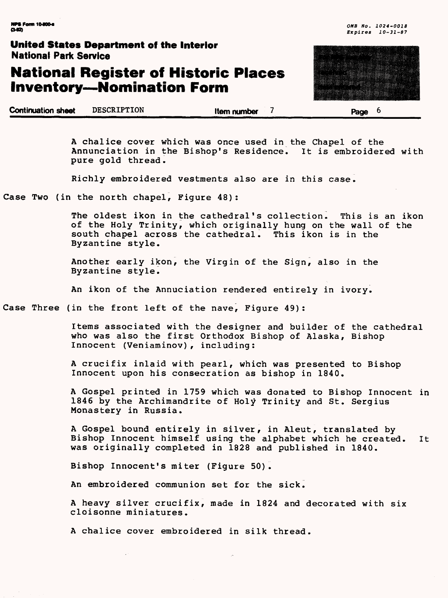# **National Register of Historic Places Inventory—Nomination Form**

**Continuation sheet** DESCRIPTION\_\_\_\_\_\_\_\_\_\_**Item number 7\_\_\_\_\_\_\_\_\_\_\_page 6\_\_\_\_\_\_**

A chalice cover which was once used in the Chapel of the Annunciation in the Bishop's Residence. It is embroidered with pure gold thread.

Richly embroidered vestments also are in this case.

Case Two (in the north chapel, Figure 48):

The oldest ikon in the cathedral's collection. This is an ikon of the Holy Trinity, which originally hung on the wall of the south chapel across the cathedral. This ikon is in the Byzantine style.

Another early ikon, the Virgin of the Sign, also in the Byzantine style.

An ikon of the Annuciation rendered entirely in ivory.

Case Three (in the front left of the nave, Figure 49):

Items associated with the designer and builder of the cathedral who was also the first Orthodox Bishop of Alaska, Bishop Innocent (Veniaminov), including:

A crucifix inlaid with pearl, which was presented to Bishop Innocent upon his consecration as bishop in 1840.

A Gospel printed in 1759 which was donated to Bishop Innocent in 1846 by the Archimandrite of Holy Trinity and St. Sergius Monastery in Russia.

A Gospel bound entirely in silver, in Aleut, translated by Bishop Innocent himself using the alphabet which he created. It was originally completed in 1828 and published in 1840.

Bishop Innocent's miter (Figure 50).

An embroidered communion set for the sick.

A heavy silver crucifix, made in 1824 and decorated with six cloisonne miniatures.

A chalice cover embroidered in silk thread.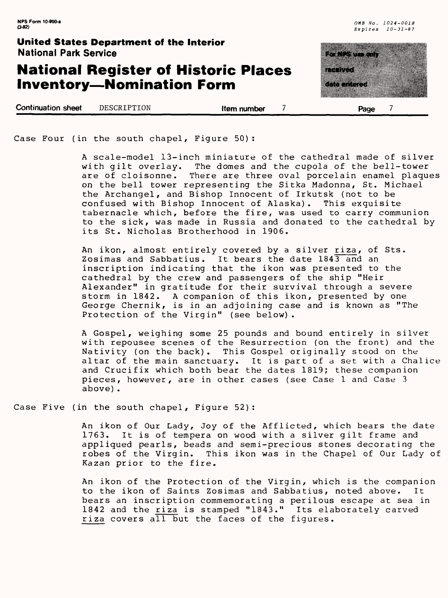### **National Register of Historic Places Inventory—Nomination Form**

**Continuation sheet DESCRIPTION Item number Page** 

|  | Page                     |  |
|--|--------------------------|--|
|  | 83 S.Y<br><u>kata ka</u> |  |
|  | <u>matan ka</u>          |  |
|  |                          |  |

Case Four (in the south chapel, Figure 50):

A scale-model 13-inch miniature of the cathedral made of silver with gilt overlay. The domes and the cupola of the bell-tower<br>are of cloisonne. There are three oval porcelain enamel plaque There are three oval porcelain enamel plaques on the bell tower representing the Sitka Madonna, St. Michael the Archangel, and Bishop Innocent of Irkutsk (not to be confused with Bishop Innocent of Alaska). tabernacle which, before the fire, was used to carry communion to the sick, was made in Russia and donated to the cathedral by its St. Nicholas Brotherhood in 1906.

An ikon, almost entirely covered by a silver riza, of Sts. Zosimas and Sabbatius. It bears the date 1843 and an inscription indicating that the ikon was presented to the cathedral by the crew and passengers of the ship "Heir Alexander" in gratitude for their survival through a severe storm in 1842. A companion of this ikon, presented by one George Chernik, is in an adjoining case and is known as "The Protection of the Virgin" (see below).

A Gospel, weighing some 25 pounds and bound entirely in silver with repousee scenes of the Resurrection (on the front) and the Nativity (on the back). This Gospel originally stood on the This Gospel originally stood on the altar of the main sanctuary. It is part of a set with a Chalice and Crucifix which both bear the dates 1819; these companion pieces, however, are in other cases (see Case 1 and Case 3 above).

Case Five (in the south chapel, Figure 52):

An ikon of Our Lady, Joy of the Afflicted, which bears the date 1763. It is of tempera on wood with a silver gilt frame and appliqued pearls, beads and semi-precious stones decorating the robes of the Virgin. This ikon was in the Chapel of Our Lady of Kazan prior to the fire.

An ikon of the Protection of the Virgin, which is the companion to the ikon of Saints Zosimas and Sabbatius, noted above. It bears an inscription commemorating a perilous escape at sea in 1842 and the riza is stamped "1843." Its elaborately carved riza covers all but the faces of the figures.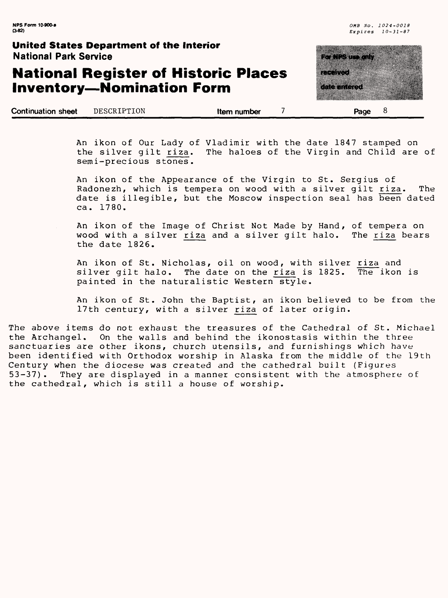8

### **United States Department of the Interior** National Park Service

# **National Register of Historic Places Inventory—Nomination Form**

**Continuation sheet** DESCRIPTION **Item number 7 Page**

| a kacamatan ing Kabupatèn Kabupatèn Ka |  |  |
|----------------------------------------|--|--|
|                                        |  |  |
| a a shekara                            |  |  |
| <u>mana</u>                            |  |  |
|                                        |  |  |
|                                        |  |  |

An ikon of Our Lady of Vladimir with the date 1847 stamped on<br>the silver gilt riza. The haloes of the Virgin and Child are The haloes of the Virgin and Child are of semi-precious stones.

An ikon of the Appearance of the Virgin to St. Sergius of Radonezh, which is tempera on wood with a silver gilt riza. The date is illegible, but the Moscow inspection seal has been dated ca. 1780.

An ikon of the Image of Christ Not Made by Hand, of tempera on wood with a silver riza and a silver gilt halo. The riza bears the date 1826.

An ikon of St. Nicholas, oil on wood, with silver riza and<br>silver gilt halo. The date on the riza is 1825. The ikon is The date on the riza is 1825. painted in the naturalistic Western style.

An ikon of St. John the Baptist, an ikon believed to be from the 17th century, with a silver riza of later origin.

The above items do not exhaust the treasures of the Cathedral of St. Michael the Archangel. On the walls and behind the ikonostasis within the three sanctuaries are other ikons, church utensils, and furnishings which have been identified with Orthodox worship in Alaska from the middle of the 19th Century when the diocese was created and the cathedral built (Figures<br>53-37). They are displayed in a manner consistent with the atmospher They are displayed in a manner consistent with the atmosphere of the cathedral, which is still a house of worship.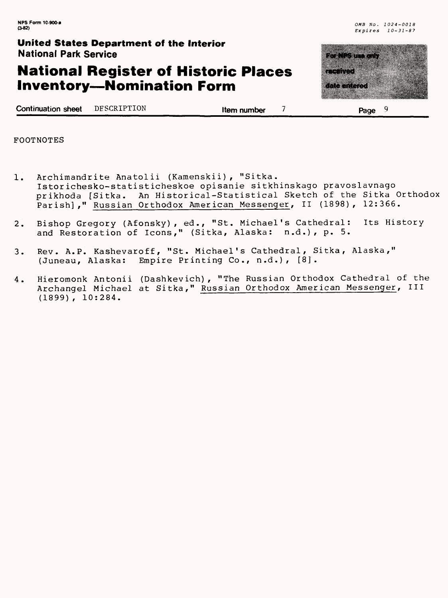### **National Register of Historic Places Inventory—Nomination Form**



**Page**

| <b>Continuation sheet</b> | DFSCRIPTION | Item number |
|---------------------------|-------------|-------------|
|---------------------------|-------------|-------------|

FOOTNOTES

- Archimandrite Anatolii (Kamenskii), "Sitka.  $1.$ Istor ichesko-statisticheskoe opisanie sitkhinskago pravoslavnago prikhoda [Sitka. An Historical-Statistical Sketch of the Sitka Orthodox Parish]," Russian Orthodox American Messenger, II (1898), 12:366.
- Bishop Gregory (Afonsky), ed., "St. Michael's Cathedral: Its History  $2.$ and Restoration of Icons," (Sitka, Alaska: n.d.), p. 5.
- Rev. A. P. Kashevaroff, "St. Michael's Cathedral, Sitka, Alaska,"  $3.$ (Juneau, Alaska: Empire Printing Co., n.d.), [8].
- Hieromonk Antonii (Dashkevich) , "The Russian Orthodox Cathedral of the  $4.$ Archangel Michael at Sitka," Russian Orthodox American Messenger, III (1899) , 10:284.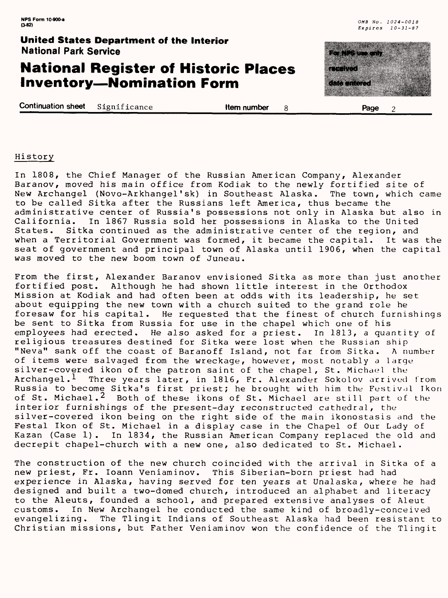### **National Register of Historic Places Inventory—Nomination Form**

**Continuation sheet** Significance **Item number** 8 **Page** 2



#### History

In 1808, the Chief Manager of the Russian American Company, Alexander Baranov, moved his main office from Kodiak to the newly fortified site of New Archangel (Novo-Arkhangel'sk) in Southeast Alaska. The town, which came to be called Sitka after the Russians left America, thus became the administrative center of Russia's possessions not only in Alaska but also in<br>California. In 1867 Russia sold her possessions in Alaska to the United In 1867 Russia sold her possessions in Alaska to the United States. Sitka continued as the administrative center of the region, and when a Territorial Government was formed, it became the capital. It was the seat of government and principal town of Alaska until 1906, when the capital was moved to the new boom town of Juneau.

From the first, Alexander Baranov envisioned Sitka as more than just another fortified post. Although he had shown little interest in the Orthodox Mission at Kodiak and had often been at odds with its leadership, he set about equipping the new town with a church suited to the grand role he foresaw for his capital. He requested that the finest of church furnishings be sent to Sitka from Russia for use in the chapel which one of his employees had erected. He also asked for a priest. In 1813, a quantity of religious treasures destined for Sitka were lost when the Russian ship "Neva" sank off the coast of Baranoff Island, not far from Sitka. A number of items were salvaged from the wreckage, however, most notably a large silver-covered ikon of the patron saint of the chapel, St. Michael the Archangel.<sup>1</sup> Three years later, in 1816, Fr. Alexander Sokolov arrived from Russia to become Sitka's first priest; he brought with him the Festival Ikon of St. Michael.<sup>2</sup> Both of these ikons of St. Michael are still part of the Both of these ikons of St. Michael are still part of the interior furnishings of the present-day reconstructed cathedral, the silver-covered ikon being on the right side of the main ikonostasis and the Festal Ikon of St. Michael in a display case in the Chapel of Our Lady of Kazan (Case 1). In 1834, the Russian American Company replaced the old and decrepit chapel-church with a new one, also dedicated to St. Michael.

The construction of the new church coincided with the arrival in Sitka of a new priest, Fr. loann Veniaminov. This Siberian-born priest had had experience in Alaska, having served for ten years at Unalaska, where he had designed and built a two-domed church, introduced an alphabet and literacy to the Aleuts, founded a school, and prepared extensive analyses of Aleut customs. In New Archangel he conducted the same kind of broadly-conceived evangelizing. The Tlingit Indians of Southeast Alaska had been resistant to Christian missions, but Father Veniaminov won the confidence of the Tlingit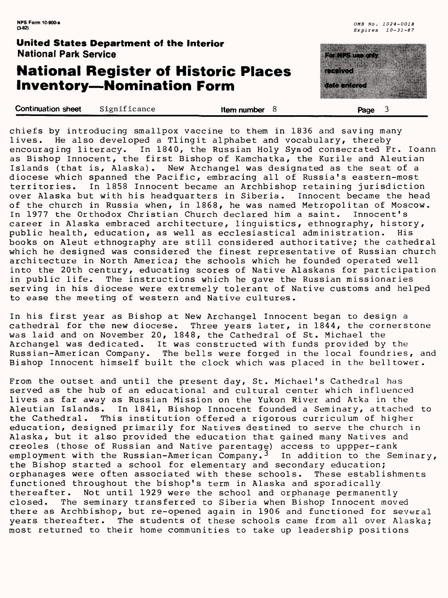### **National Register of Historic Places Inventory—Nomination Form**

|       | <u> Tanzania a se</u> |  |  |
|-------|-----------------------|--|--|
| 83333 |                       |  |  |
|       |                       |  |  |
|       | a a mata              |  |  |

Continuation sheet Significance **Item number Page 3** chiefs by introducing smallpox vaccine to them in 1836 and saving many lives. He also developed a Tlingit alphabet and vocabulary, thereby encouraging literacy. In 1840, the Russian Holy Synod consecrated Fr. loann as Bishop Innocent, the first Bishop of Kamchatka, the Kurile and Aleutian Islands (that is, Alaska). New Archangel was designated as the seat of a diocese which spanned the Pacific, embracing all of Russia's eastern-most territories. In 1858 Innocent became an Archbishop retaining jurisdiction over Alaska but with his headquarters in Siberia. of the church in Russia when, in 1868, he was named Metropolitan of Moscow. In 1977 the Orthodox Christian Church declared him a saint. Innocent's career in Alaska embraced architecture, linguistics, ethnography, history, public health, education, as well as ecclesiastical administration. His books on Aleut ethnography are still considered authoritative; the cathedral which he designed was considered the finest representative of Russian church architecture in North America; the schools which he founded operated well into the 20th century, educating scores of Native Alaskans for participation in public life. The instructions which he gave the Russian missionaries serving in his diocese were extremely tolerant of Native customs and helped to ease the meeting of western and Native cultures.

In his first year as Bishop at New Archangel Innocent began to design a cathedral for the new diocese. Three years later, in 1844, the cornerstone was laid and on November 20, 1848, the Cathedral of St. Michael the Archangel was dedicated. It was constructed with funds provided by the Russian-American Company. The bells were forged in the local foundries, and Bishop Innocent himself built the clock which was placed in the belltower.

From the outset and until the present day, St. Michael's Cathedral has served as the hub of an educational and cultural center which influenced lives as far away as Russian Mission on the Yukon River and Atka in the Aleutian Islands. In 1841, Bishop Innocent founded a Seminary, attached to the Cathedral. This institution offered a rigorous curriculum of higher This institution offered a rigorous curriculum of higher education, designed primarily for Natives destined to serve the church in Alaska, but it also provided the education that gained many Natives and Creoles (those of Russian and Native parentage) access to uppper-rank employment with the Russian-American Company. $^{\text{3}}$  In addition to the Seminary, the Bishop started a school for elementary and secondary education; orphanages were often associated with these schools. These establishments functioned throughout the bishop's term in Alaska and sporadically Not until 1929 were the school and orphanage permanently closed. The seminary transferred to Siberia when Bishop Innocent moved there as Archbishop, but re-opened again in 1906 and functioned for several years thereafter. The students of these schools came from all over Alaska; most returned to their home communities to take up leadership positions thereafter,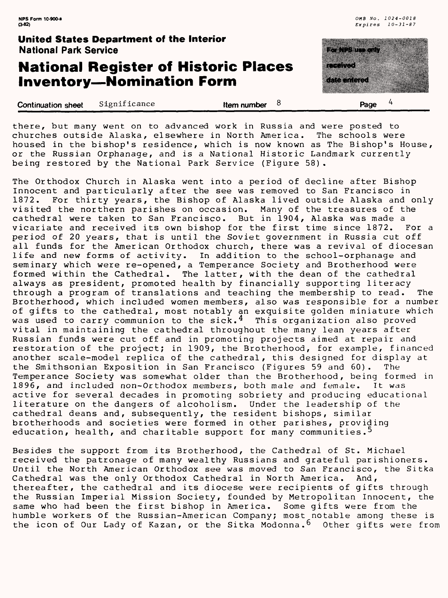### **National Register of Historic Places Inventory—Nomination Form**

| <b>National Park Service</b> | United States Department of the interior | a matsayin katalog asl nashrida nashrida nashrida nashrida nashrida nashrida nashrida nashrida nashrida nashr<br>Matsayin nashrida nashrida nashrida nashrida nashrida nashrida nashrida nashrida nashrida nashrida nashrida na |                      |
|------------------------------|------------------------------------------|---------------------------------------------------------------------------------------------------------------------------------------------------------------------------------------------------------------------------------|----------------------|
|                              | <b>Inventory-Nomination Form</b>         | <b>National Register of Historic Places</b>                                                                                                                                                                                     | a a chun<br>a matang |
| Continuation sheet           | Significance                             | Item number $8$                                                                                                                                                                                                                 | Page                 |

there, but many went on to advanced work in Russia and were posted to churches outside Alaska, elsewhere in North America. The schools were housed in the bishop's residence, which is now known as The Bishop's House, or the Russian Orphanage, and is a National Historic Landmark currently being restored by the National Park Service (Figure 58).

The Orthodox Church in Alaska went into a period of decline after Bishop Innocent and particularly after the see was removed to San Francisco in 1872. For thirty years, the Bishop of Alaska lived outside Alaska and only visited the northern parishes on occasion. Many of the treasures of the cathedral were taken to San Francisco. But in 1904, Alaska was made a vicariate and received its own bishop for the first time since 1872. For a period of 20 years, that is until the Soviet government in Russia cut off all funds for the American Orthodox church, there was a revival of diocesan life and new forms of activity. In addition to the school-orphanage and seminary which were re-opened, a Temperance Society and Brotherhood were formed within the Cathedral. The latter, with the dean of the cathedral always as president, promoted health by financially supporting literacy through a program of translations and teaching the membership to read. The Brotherhood, which included women members, also was responsible for a number of gifts to the cathedral, most notably an exquisite golden miniature which was used to carry communion to the sick.<sup>4</sup> This organization also proved vital in maintaining the cathedral throughout the many lean years after Russian funds were cut off and in promoting projects aimed at repair and restoration of the project; in 1909, the Brotherhood, for example, financed another scale-model replica of the cathedral, this designed for display at the Smithsonian Exposition in San Francisco (Figures 59 and 60). The Temperance Society was somewhat older than the Brotherhood, being formed in 1896, and included non-Orthodox members, both male and female. It was active for several decades in promoting sobriety and producing educational literature on the dangers of alcoholism. Under the leadership of the cathedral deans and, subsequently, the resident bishops, similar brotherhoods and societies were formed in other parishes, providing education, health, and charitable support for many communities.<sup>5</sup>

Besides the support from its Brotherhood, the Cathedral of St. Michael received the patronage of many wealthy Russians and grateful parishioners. Until the North American Orthodox see was moved to San Francisco, the Sitka Cathedral was the only Orthodox Cathedral in North America. And, thereafter, the cathedral and its diocese were recipients of gifts through the Russian Imperial Mission Society, founded by Metropolitan Innocent, the same who had been the first bishop in America. Some gifts were from the humble workers of the Russian-American Company; most notable among these is the icon of Our Lady of Kazan, or the Sitka Modonna.<sup>6</sup> Other gifts were from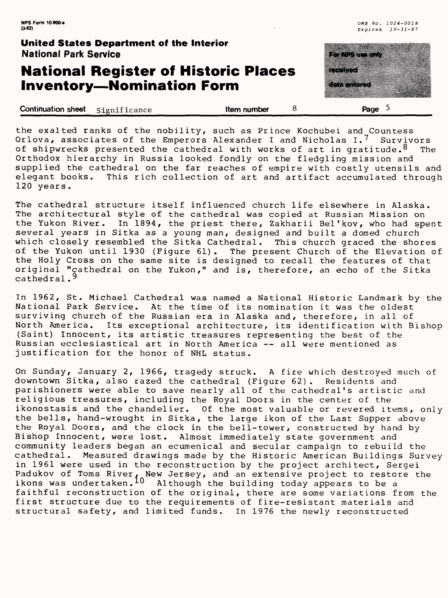### **National Register of Historic Places Inventory—Nomination Form**



| <b>Continuation sheet</b> Significance | Item number | Page |  |
|----------------------------------------|-------------|------|--|
|                                        |             |      |  |

the exalted ranks of the nobility, such as Prince Kochubei and Countess Orlova, associates of the Emperors Alexander I and Nicholas 1.7 Survivors of shipwrecks presented the cathedral with works of art in gratitude.  $8$  The Orthodox hierarchy in Russia looked fondly on the fledgling mission and supplied the cathedral on the far reaches of empire with costly utensils and elegant books. This rich collection of art and artifact accumulated through 120 years.

The cathedral structure itself influenced church life elsewhere in Alaska. The architectural style of the cathedral was copied at Russian Mission on the Yukon River. In 1894, the priest there, Zakharii Bel'kov, who had spent several years in Sitka as a young man, designed and built a domed church which closely resembled the Sitka Cathedral. This church graced the shores of the Yukon until 1930 (Figure 61). The present Church of the Elevation of the Holy Cross on the same site is designed to recall the features of that original "cathedral on the Yukon," and is, therefore, an echo of the Sitka cathedral.<sup>9</sup>

In 1962, St. Michael Cathedral was named a National Historic Landmark by the National Park Service. At the time of its nomination it was the oldest surviving church of the Russian era in Alaska and, therefore, in all of North America. Its exceptional architecture, its identification with Bishop (Saint) Innocent, its artistic treasures representing the best of the Russian ecclesiastical art in North America — all were mentioned as justification for the honor of NHL status.

On Sunday, January 2, 1966, tragedy struck. A fire which destroyed much of downtown Sitka, also razed the cathedral (Figure 62). Residents and parishioners were able to save nearly all of the cathedral's artistic and religious treasures, including the Royal Doors in the center of the ikonostasis and the chandelier. Of the most valuable or revered items, only the bells, hand-wrought in Sitka, the large ikon of the Last Supper above the Royal Doors, and the clock in the bell-tower, constructed by hand by Bishop Innocent, were lost. Almost immediately state government and community leaders began an ecumenical and secular campaign to rebuild the cathedral. Measured drawings made by the Historic American Buildings Survey in 1961 were used in the reconstruction by the project architect, Sergei Padukov of Toms River, New Jersey, and an extensive project to restore the ikons was undertaken.<sup>10</sup> Although the building today appears to be a faithful reconstruction of the original, there are some variations from the first structure due to the requirements of fire-resistant materials and structural safety, and limited funds. In 1976 the newly reconstructed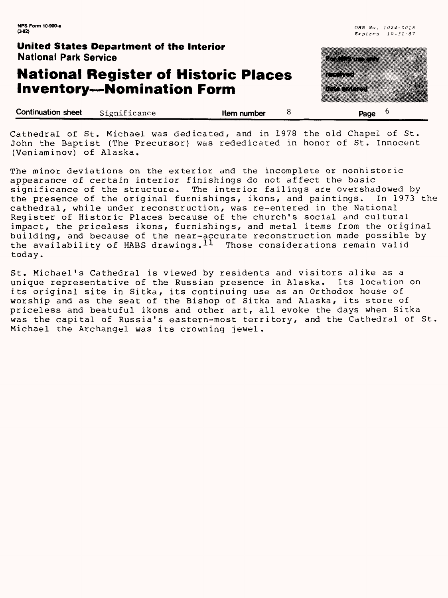# **National Register of Historic Places Inventory — Nomination Form**



| <b>Continuation sheet</b> | Significance | Item number | Page |
|---------------------------|--------------|-------------|------|
|                           |              |             |      |

Cathedral of St. Michael was dedicated, and in 1978 the old Chapel of St. John the Baptist (The Precursor) was rededicated in honor of St. Innocent (Veniaminov) of Alaska.

The minor deviations on the exterior and the incomplete or nonhistoric appearance of certain interior finishings do not affect the basic significance of the structure. The interior failings are overshadowed by the presence of the original furnishings, ikons, and paintings. In 1973 the cathedral, while under reconstruction, was re-entered in the National Register of Historic Places because of the church's social and cultural impact, the priceless ikons, furnishings, and metal items from the original building, and because of the near-accurate reconstruction made possible by the availability of HABS drawings.  $^{11}$  Those considerations remain valid today.

St. Michael's Cathedral is viewed by residents and visitors alike as a unique representative of the Russian presence in Alaska. Its location on its original site in Sitka, its continuing use as an Orthodox house of worship and as the seat of the Bishop of Sitka and Alaska, its store of priceless and beatuful ikons and other art, all evoke the days when Sitka was the capital of Russia's eastern-most territory, and the Cathedral of St. Michael the Archangel was its crowning jewel.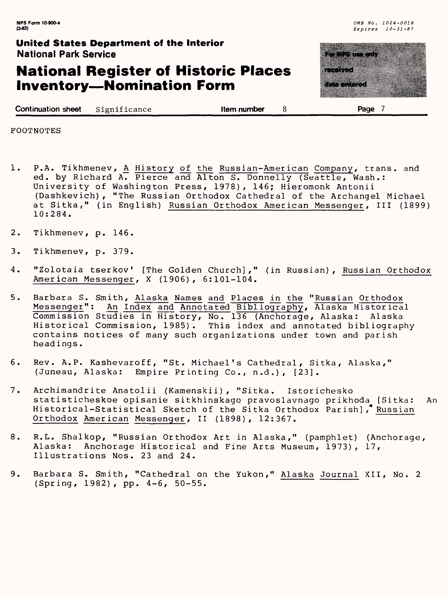### **National Register of Historic Places Inventory—Nomination Form**

<u>a shekara da matsayin a shekara ta 1999 a shekara ta 1999 a shekara ta 1999 a shekara ta 1999 a shekara ta 19</u> ganaa waxa 

**Continuation sheet** Significance **in the set of the set of the set of the set of the set of the set of the set of the set of the set of the set of the set of the set of the set of the set of the set of the set of the set** 

FOOTNOTES

- 1. P.A. Tikhmenev, <u>A</u> History of the Russian-American Company, trans. and ed. by Richard A. Pierce and Alton S. Donnelly (Seattle, Wash.: University of Washington Press, 1978), 146; Hieromonk Antonii (Dashkevich), "The Russian Orthodox Cathedral of the Archangel Michael at Sitka," (in English) Russian Orthodox American Messenger, III (1899) 10:284.
- 2. Tikhmenev, p. 146.
- 3. Tikhmenev, p. 379.
- 4. "Zolotaia tserkov' [The Golden Church]," (in Russian), Russian Orthodox American Messenger, X (1906), 6:101-104.
- 5. Barbara S. Smith, Alaska Names and Places in the "Russian Orthodox Messenger"; An Index and Annotated Bibliography, Alaska Historical Commission Studies in History, No. 136 (Anchorage, Alaska: Alaska Historical Commission, 1985). This index and annotated bibliography contains notices of many such organizations under town and parish headings.
- 6. Rev. A.P. Kashevaroff, "St. Michael's Cathedral, Sitka, Alaska, (Juneau, Alaska: Empire Printing Co., n.d.), [23].
- 7. Archimandrite Anatolii (Kamenskii), "Sitka. Istorichesko statisticheskoe opisanie sitkhinskago pravoslavnago prikhoda [Sitka: An Historical-Statistical Sketch of the Sitka Orthodox Parish], Russian Orthodox American Messenger, II (1898) , 12:367.
- 8. R.L. Shalkop, "Russian Orthodox Art in Alaska," (pamphlet) (Anchorage, Alaska: Anchorage Historical and Fine Arts Museum, 1973), 17, Illustrations Nos. 23 and 24.
- 9. Barbara S. Smith, "Cathedral on the Yukon," Alaska Journal XII, No. 2 (Spring, 1982), pp. 4-6, 50-55.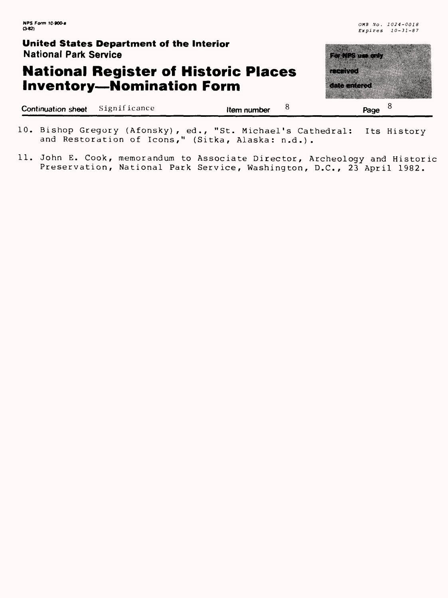# **National Register of Historic Places Inventory—Nomination Form**

| <b>National Park Service</b> | United States Department of the Interior |                                             | a shekarar 1999                                              |
|------------------------------|------------------------------------------|---------------------------------------------|--------------------------------------------------------------|
|                              | <b>Inventory-Nomination Form</b>         | <b>National Register of Historic Places</b> | <u>mesta</u><br><u> Timber and a she</u><br><u>maanii ka</u> |
| <b>Continuation sheet</b>    | Significance                             | Item number                                 | Page                                                         |

|  |                                                   |  | 10. Bishop Gregory (Afonsky), ed., "St. Michael's Cathedral: Its History |  |
|--|---------------------------------------------------|--|--------------------------------------------------------------------------|--|
|  | and Restoration of Icons," (Sitka, Alaska: n.d.). |  |                                                                          |  |

11. John E. Cook, memorandum to Associate Director, Archeology and Historic Preservation, National Park Service, Washington, D.C., 23 April 1982.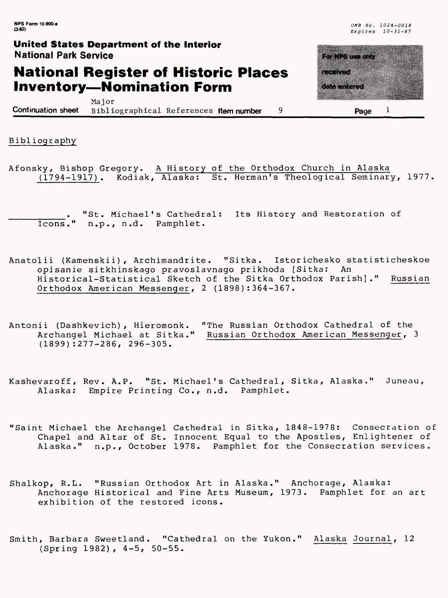## **National Register of Historic Places Inventory—Nomination Form**

amaanaa 

Major **Continuation sheet** Bibliographical References **Item number 9 Page 1**

Bibliography

Afonsky, Bishop Gregory. A History of the Orthodox Church in Alaska (1794-1917). Kodiak, Alaska: St. Herman's Theological Seminary, 1977

"St. Michael's Cathedral: Its History and Restoration of Icons." n.p., n.d. Pamphlet.

- Anatolii (Kamenskii), Archimandrite. "Sitka. Istorichesko statisticheskoe opisanie sitkhinskago pravoslavnago prikhoda [Sitka: An Historical-Statistical Sketch of the Sitka Orthodox Parish]." Russian Orthodox American Messenger, 2 (1898):364-367.
- Antonii (Dashkevich), Hieromonk. "The Russian Orthodox Cathedral of the Archangel Michael at Sitka." Russian Orthodox American Messenger, 3 (1899):277-286, 296-305.
- Kashevaroff, Rev. A.P. "St. Michael's Cathedral, Sitka, Alaska." Juneau, Alaska: Empire Printing Co., n.d. Pamphlet.
- "Saint Michael the Archangel Cathedral in Sitka, 1848-1978: Consecration of Chapel and Altar of St. Innocent Equal to the Apostles, Enlightener of Alaska." n.p., October 1978. Pamphlet for the Consecration services.
- Shalkop, R.L. "Russian Orthodox Art in Alaska." Anchorage, Alaska: Anchorage Historical and Fine Arts Museum, 1973. Pamphlet for an art exhibition of the restored icons.

Smith, Barbara Sweetland. "Cathedral on the Yukon." Alaska Journal, 12 (Spring 1982), 4-5, 50-55.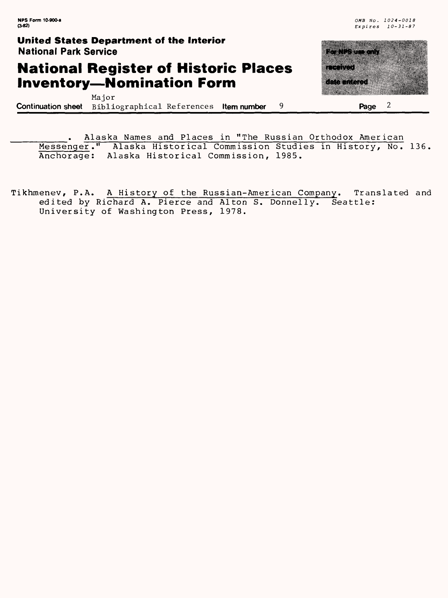# **National Register of Historic Places Inventory—Nomination Form**

₩ <u>e de la continenta</u> gaanaa aayaa <u>e de la compa</u> 

Major **Continuation sheet** Bibliographical References **Item number** 9 **Page** 2

Alaska Names and Places in "The Russian Orthodox American Messenger." Alaska Historical Commission Studies in History, No. 136, Anchorage: Alaska Historical Commission, 1985.

Tikhmenev, P.A. A History of the Russian-American Company. Translated and edited by Richard A. Pierce and Alton S. Donnelly. Seattle: University of Washington Press, 1978.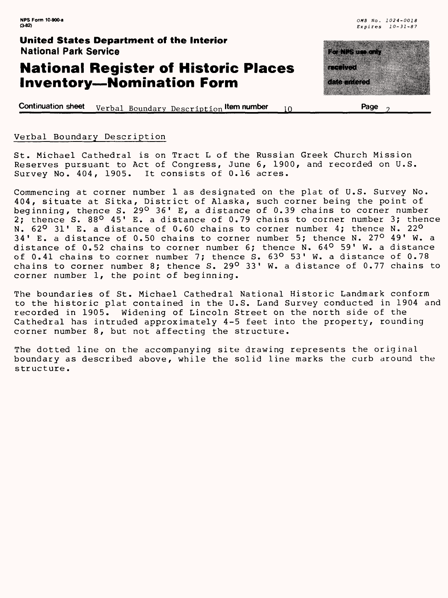### **National Register of Historic Places Inventory—Nomination Form**

**Continuation sheet** Verbal Boundary Description **Item number** 10



#### Verbal Boundary Description

St. Michael Cathedral is on Tract L of the Russian Greek Church Mission Reserves pursuant to Act of Congress, June 6, 1900, and recorded on U.S. Survey No. 404, 1905. It consists of 0.16 acres.

Commencing at corner number 1 as designated on the plat of U.S. Survey No. 404, situate at Sitka, District of Alaska, such corner being the point of beginning, thence S. 29° 36' E, a distance of 0.39 chains to corner number 2; thence S. 88° 45' E. a distance of 0.79 chains to corner number 3; thence N.  $62^{\mathsf{O}}$  31' E. a distance of 0.60 chains to corner number 4; thence N. 22 $^{\mathsf{O}}$ 34' E. a distance of 0.50 chains to corner number 5; thence N. 27° 49' W. a distance of 0.52 chains to corner number 6; thence N. 64<sup>0</sup> 59' W. a distance of 0.41 chains to corner number 7; thence S. 63° 53' W. a distance of 0.78 chains to corner number 8; thence S. 29° 33' W. a distance of 0.77 chains to corner number 1, the point of beginning.

The boundaries of St. Michael Cathedral National Historic Landmark conform to the historic plat contained in the U.S. Land Survey conducted in 1904 and recorded in 1905. Widening of Lincoln Street on the north side of the Cathedral has intruded approximately 4-5 feet into the property, rounding corner number 8, but not affecting the structure.

The dotted line on the accompanying site drawing represents the original boundary as described above, while the solid line marks the curb around the structure.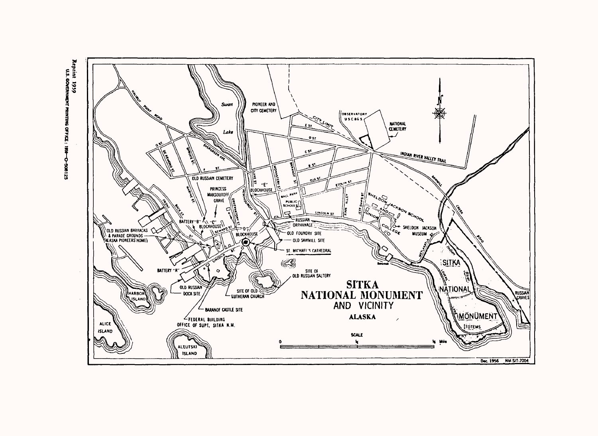

Reptint 1959<br>U.S. GOVERNMENT PRINTING OFFICE : 195 Ó

521805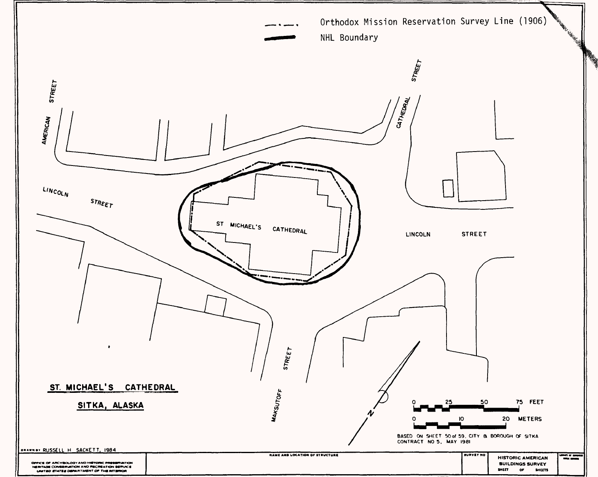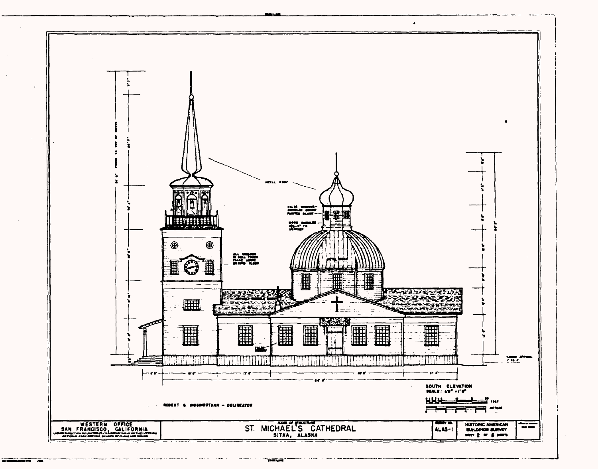